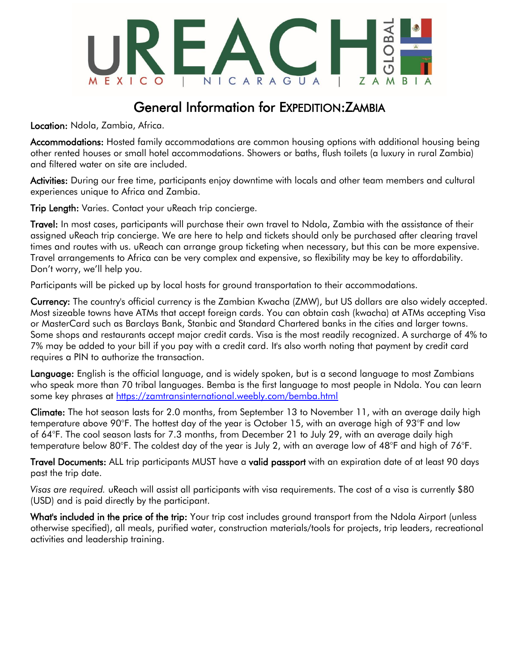

### General Information for EXPEDITION:ZAMBIA

Location: Ndola, Zambia, Africa.

Accommodations: Hosted family accommodations are common housing options with additional housing being other rented houses or small hotel accommodations. Showers or baths, flush toilets (a luxury in rural Zambia) and filtered water on site are included.

Activities: During our free time, participants enjoy downtime with locals and other team members and cultural experiences unique to Africa and Zambia.

Trip Length: Varies. Contact your uReach trip concierge.

Travel: In most cases, participants will purchase their own travel to Ndola, Zambia with the assistance of their assigned uReach trip concierge. We are here to help and tickets should only be purchased after clearing travel times and routes with us. uReach can arrange group ticketing when necessary, but this can be more expensive. Travel arrangements to Africa can be very complex and expensive, so flexibility may be key to affordability. Don't worry, we'll help you.

Participants will be picked up by local hosts for ground transportation to their accommodations.

Currency: The country's official currency is the Zambian Kwacha (ZMW), but US dollars are also widely accepted. Most sizeable towns have ATMs that accept foreign cards. You can obtain cash (kwacha) at ATMs accepting Visa or MasterCard such as Barclays Bank, Stanbic and Standard Chartered banks in the cities and larger towns. Some shops and restaurants accept major credit cards. Visa is the most readily recognized. A surcharge of 4% to 7% may be added to your bill if you pay with a credit card. It's also worth noting that payment by credit card requires a PIN to authorize the transaction.

Language: English is the official language, and is widely spoken, but is a second language to most Zambians who speak more than 70 tribal languages. Bemba is the first language to most people in Ndola. You can learn some key phrases at<https://zamtransinternational.weebly.com/bemba.html>

Climate: The hot season lasts for 2.0 months, from September 13 to November 11, with an average daily high temperature above 90°F. The hottest day of the year is October 15, with an average high of 93°F and low of 64°F. The cool season lasts for 7.3 months, from December 21 to July 29, with an average daily high temperature below 80°F. The coldest day of the year is July 2, with an average low of 48°F and high of 76°F.

Travel Documents: ALL trip participants MUST have a valid passport with an expiration date of at least 90 days past the trip date.

*Visas are required.* uReach will assist all participants with visa requirements. The cost of a visa is currently \$80 (USD) and is paid directly by the participant.

What's included in the price of the trip: Your trip cost includes ground transport from the Ndola Airport (unless otherwise specified), all meals, purified water, construction materials/tools for projects, trip leaders, recreational activities and leadership training.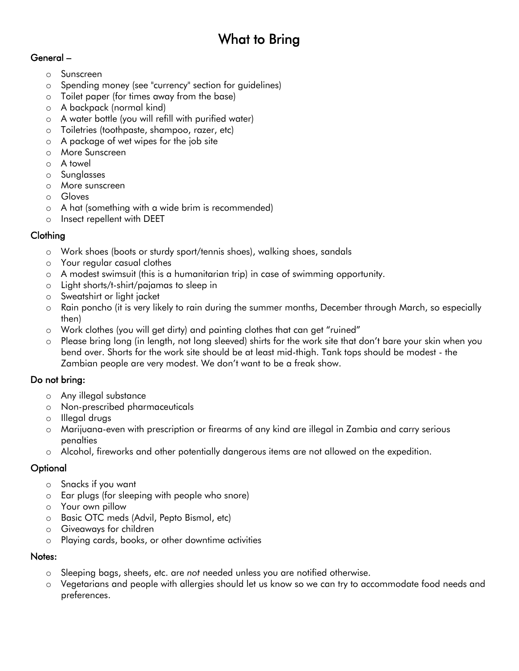# What to Bring

### General –

- o Sunscreen
- o Spending money (see "currency" section for guidelines)
- o Toilet paper (for times away from the base)
- o A backpack (normal kind)
- o A water bottle (you will refill with purified water)
- o Toiletries (toothpaste, shampoo, razer, etc)
- o A package of wet wipes for the job site
- o More Sunscreen
- o A towel
- o Sunglasses
- o More sunscreen
- o Gloves
- o A hat (something with a wide brim is recommended)
- o Insect repellent with DEET

#### Clothing

- o Work shoes (boots or sturdy sport/tennis shoes), walking shoes, sandals
- o Your regular casual clothes
- o A modest swimsuit (this is a humanitarian trip) in case of swimming opportunity.
- o Light shorts/t-shirt/pajamas to sleep in
- o Sweatshirt or light jacket
- o Rain poncho (it is very likely to rain during the summer months, December through March, so especially then)
- o Work clothes (you will get dirty) and painting clothes that can get "ruined"
- o Please bring long (in length, not long sleeved) shirts for the work site that don't bare your skin when you bend over. Shorts for the work site should be at least mid-thigh. Tank tops should be modest - the Zambian people are very modest. We don't want to be a freak show.

#### Do not bring:

- o Any illegal substance
- o Non-prescribed pharmaceuticals
- o Illegal drugs
- o Marijuana-even with prescription or firearms of any kind are illegal in Zambia and carry serious penalties
- o Alcohol, fireworks and other potentially dangerous items are not allowed on the expedition.

#### **Optional**

- o Snacks if you want
- o Ear plugs (for sleeping with people who snore)
- o Your own pillow
- o Basic OTC meds (Advil, Pepto Bismol, etc)
- o Giveaways for children
- o Playing cards, books, or other downtime activities

#### Notes:

- o Sleeping bags, sheets, etc. are *not* needed unless you are notified otherwise.
- o Vegetarians and people with allergies should let us know so we can try to accommodate food needs and preferences.